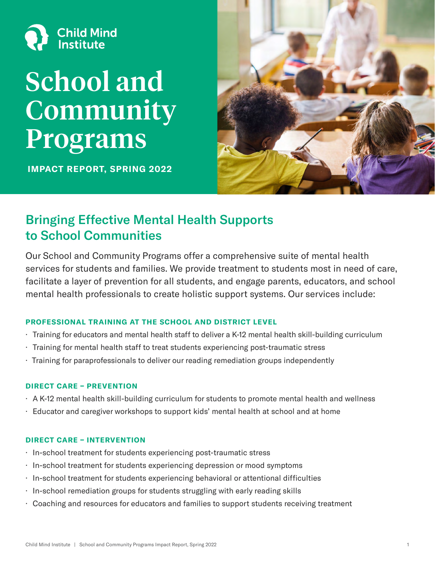

# School and Community Programs

IMPACT REPORT, SPRING 2022



## Bringing Effective Mental Health Supports to School Communities

Our School and Community Programs offer a comprehensive suite of mental health services for students and families. We provide treatment to students most in need of care, facilitate a layer of prevention for all students, and engage parents, educators, and school mental health professionals to create holistic support systems. Our services include:

### PROFESSIONAL TRAINING AT THE SCHOOL AND DISTRICT LEVEL

- · Training for educators and mental health staff to deliver a K-12 mental health skill-building curriculum
- · Training for mental health staff to treat students experiencing post-traumatic stress
- · Training for paraprofessionals to deliver our reading remediation groups independently

#### DIRECT CARE – PREVENTION

- · A K-12 mental health skill-building curriculum for students to promote mental health and wellness
- · Educator and caregiver workshops to support kids' mental health at school and at home

### DIRECT CARE – INTERVENTION

- · In-school treatment for students experiencing post-traumatic stress
- · In-school treatment for students experiencing depression or mood symptoms
- · In-school treatment for students experiencing behavioral or attentional difficulties
- · In-school remediation groups for students struggling with early reading skills
- · Coaching and resources for educators and families to support students receiving treatment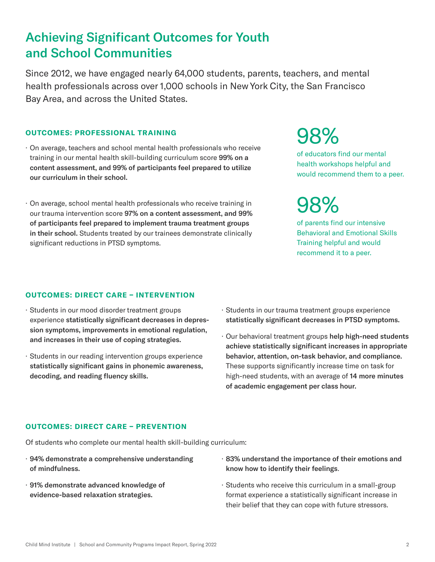## Achieving Significant Outcomes for Youth and School Communities

Since 2012, we have engaged nearly 64,000 students, parents, teachers, and mental health professionals across over 1,000 schools in New York City, the San Francisco Bay Area, and across the United States.

#### OUTCOMES: PROFESSIONAL TRAINING

- · On average, teachers and school mental health professionals who receive training in our mental health skill-building curriculum score 99% on a content assessment, and 99% of participants feel prepared to utilize our curriculum in their school.
- · On average, school mental health professionals who receive training in our trauma intervention score 97% on a content assessment, and 99% of participants feel prepared to implement trauma treatment groups in their school. Students treated by our trainees demonstrate clinically significant reductions in PTSD symptoms.

#### OUTCOMES: DIRECT CARE – INTERVENTION

- · Students in our mood disorder treatment groups experience statistically significant decreases in depression symptoms, improvements in emotional regulation, and increases in their use of coping strategies.
- · Students in our reading intervention groups experience statistically significant gains in phonemic awareness, decoding, and reading fluency skills.
- · Students in our trauma treatment groups experience statistically significant decreases in PTSD symptoms.
- · Our behavioral treatment groups help high-need students achieve statistically significant increases in appropriate behavior, attention, on-task behavior, and compliance. These supports significantly increase time on task for high-need students, with an average of 14 more minutes of academic engagement per class hour.

#### OUTCOMES: DIRECT CARE – PREVENTION

Of students who complete our mental health skill-building curriculum:

- · 94% demonstrate a comprehensive understanding of mindfulness.
- · 91% demonstrate advanced knowledge of evidence-based relaxation strategies.
- · 83% understand the importance of their emotions and know how to identify their feelings.
- · Students who receive this curriculum in a small-group format experience a statistically significant increase in their belief that they can cope with future stressors.

of parents find our intensive Behavioral and Emotional Skills Training helpful and would recommend it to a peer. 98%

of educators find our mental health workshops helpful and would recommend them to a peer.

98%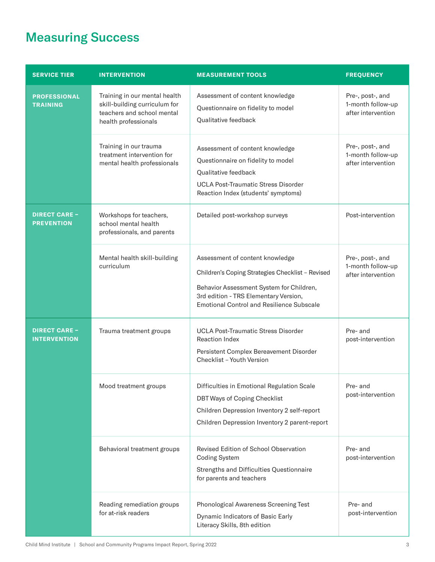## Measuring Success

| <b>SERVICE TIER</b>                         | <b>INTERVENTION</b>                                                                                                  | <b>MEASUREMENT TOOLS</b>                                                                                                                                                                                                     | <b>FREQUENCY</b>                                            |
|---------------------------------------------|----------------------------------------------------------------------------------------------------------------------|------------------------------------------------------------------------------------------------------------------------------------------------------------------------------------------------------------------------------|-------------------------------------------------------------|
| <b>PROFESSIONAL</b><br><b>TRAINING</b>      | Training in our mental health<br>skill-building curriculum for<br>teachers and school mental<br>health professionals | Assessment of content knowledge<br>Questionnaire on fidelity to model<br>Qualitative feedback                                                                                                                                | Pre-, post-, and<br>1-month follow-up<br>after intervention |
|                                             | Training in our trauma<br>treatment intervention for<br>mental health professionals                                  | Assessment of content knowledge<br>Questionnaire on fidelity to model<br>Qualitative feedback<br><b>UCLA Post-Traumatic Stress Disorder</b><br>Reaction Index (students' symptoms)                                           | Pre-, post-, and<br>1-month follow-up<br>after intervention |
| <b>DIRECT CARE -</b><br><b>PREVENTION</b>   | Workshops for teachers,<br>school mental health<br>professionals, and parents                                        | Detailed post-workshop surveys                                                                                                                                                                                               | Post-intervention                                           |
|                                             | Mental health skill-building<br>curriculum                                                                           | Assessment of content knowledge<br>Children's Coping Strategies Checklist - Revised<br>Behavior Assessment System for Children,<br>3rd edition - TRS Elementary Version,<br><b>Emotional Control and Resilience Subscale</b> | Pre-, post-, and<br>1-month follow-up<br>after intervention |
| <b>DIRECT CARE -</b><br><b>INTERVENTION</b> | Trauma treatment groups                                                                                              | <b>UCLA Post-Traumatic Stress Disorder</b><br><b>Reaction Index</b><br>Persistent Complex Bereavement Disorder<br>Checklist - Youth Version                                                                                  | Pre- and<br>post-intervention                               |
|                                             | Mood treatment groups                                                                                                | Difficulties in Emotional Regulation Scale<br>DBT Ways of Coping Checklist<br>Children Depression Inventory 2 self-report<br>Children Depression Inventory 2 parent-report                                                   | Pre- and<br>post-intervention                               |
|                                             | Behavioral treatment groups                                                                                          | Revised Edition of School Observation<br><b>Coding System</b><br>Strengths and Difficulties Questionnaire<br>for parents and teachers                                                                                        | Pre- and<br>post-intervention                               |
|                                             | Reading remediation groups<br>for at-risk readers                                                                    | Phonological Awareness Screening Test<br>Dynamic Indicators of Basic Early<br>Literacy Skills, 8th edition                                                                                                                   | Pre- and<br>post-intervention                               |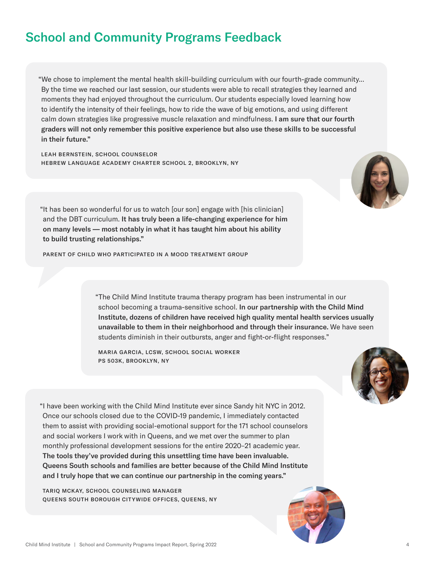## School and Community Programs Feedback

"We chose to implement the mental health skill-building curriculum with our fourth-grade community... By the time we reached our last session, our students were able to recall strategies they learned and moments they had enjoyed throughout the curriculum. Our students especially loved learning how to identify the intensity of their feelings, how to ride the wave of big emotions, and using different calm down strategies like progressive muscle relaxation and mindfulness. I am sure that our fourth graders will not only remember this positive experience but also use these skills to be successful in their future."

LEAH BERNSTEIN, SCHOOL COUNSELOR HEBREW LANGUAGE ACADEMY CHARTER SCHOOL 2, BROOKLYN, NY



"It has been so wonderful for us to watch [our son] engage with [his clinician] and the DBT curriculum. It has truly been a life-changing experience for him on many levels — most notably in what it has taught him about his ability to build trusting relationships."

PARENT OF CHILD WHO PARTICIPATED IN A MOOD TREATMENT GROUP

"The Child Mind Institute trauma therapy program has been instrumental in our school becoming a trauma-sensitive school. In our partnership with the Child Mind Institute, dozens of children have received high quality mental health services usually unavailable to them in their neighborhood and through their insurance. We have seen students diminish in their outbursts, anger and fight-or-flight responses."

MARIA GARCIA, LCSW, SCHOOL SOCIAL WORKER PS 503K, BROOKLYN, NY



"I have been working with the Child Mind Institute ever since Sandy hit NYC in 2012. Once our schools closed due to the COVID-19 pandemic, I immediately contacted them to assist with providing social-emotional support for the 171 school counselors and social workers I work with in Queens, and we met over the summer to plan monthly professional development sessions for the entire 2020–21 academic year. The tools they've provided during this unsettling time have been invaluable. Queens South schools and families are better because of the Child Mind Institute and I truly hope that we can continue our partnership in the coming years."

TARIQ MCKAY, SCHOOL COUNSELING MANAGER QUEENS SOUTH BOROUGH CITYWIDE OFFICES, QUEENS, NY